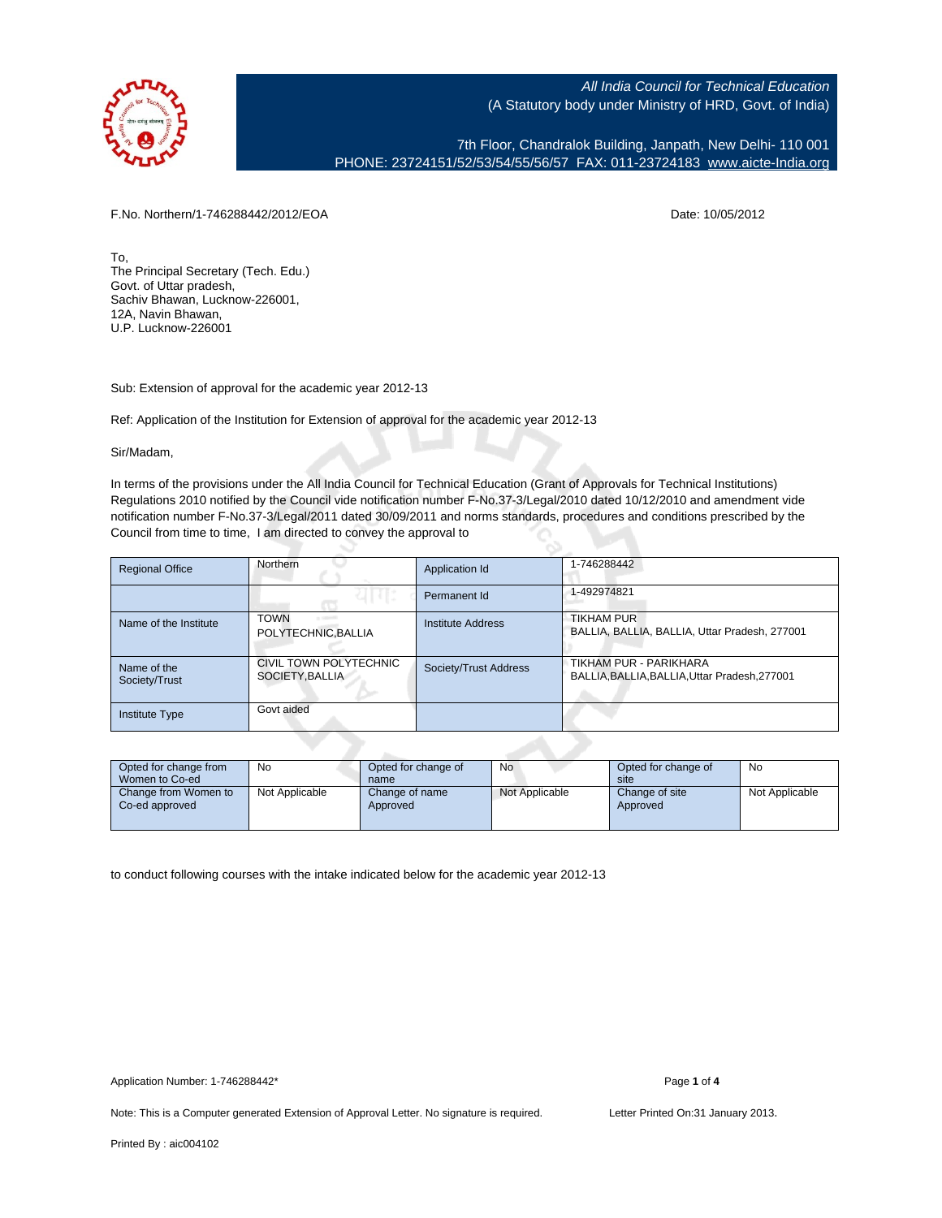

7th Floor, Chandralok Building, Janpath, New Delhi- 110 001 PHONE: 23724151/52/53/54/55/56/57 FAX: 011-23724183 [www.aicte-India.org](http://www.aicte-India.org)

F.No. Northern/1-746288442/2012/EOA Date: 10/05/2012

To, The Principal Secretary (Tech. Edu.) Govt. of Uttar pradesh, Sachiv Bhawan, Lucknow-226001, 12A, Navin Bhawan, U.P. Lucknow-226001

Sub: Extension of approval for the academic year 2012-13

Ref: Application of the Institution for Extension of approval for the academic year 2012-13

Sir/Madam,

In terms of the provisions under the All India Council for Technical Education (Grant of Approvals for Technical Institutions) Regulations 2010 notified by the Council vide notification number F-No.37-3/Legal/2010 dated 10/12/2010 and amendment vide notification number F-No.37-3/Legal/2011 dated 30/09/2011 and norms standards, procedures and conditions prescribed by the Council from time to time, I am directed to convey the approval to

| <b>Regional Office</b>       | Northern                                         | Application Id        | 1-746288442                                                             |
|------------------------------|--------------------------------------------------|-----------------------|-------------------------------------------------------------------------|
|                              |                                                  | Permanent Id          | 1-492974821                                                             |
| Name of the Institute        | <b>TOWN</b><br>or reports<br>POLYTECHNIC, BALLIA | Institute Address     | <b>TIKHAM PUR</b><br>BALLIA, BALLIA, BALLIA, Uttar Pradesh, 277001      |
| Name of the<br>Society/Trust | CIVIL TOWN POLYTECHNIC<br>SOCIETY, BALLIA        | Society/Trust Address | TIKHAM PUR - PARIKHARA<br>BALLIA, BALLIA, BALLIA, Uttar Pradesh, 277001 |
| <b>Institute Type</b>        | Govt aided                                       |                       |                                                                         |

| Opted for change from<br>Women to Co-ed | No             | Opted for change of<br>name | No             | Opted for change of<br>site | No             |  |
|-----------------------------------------|----------------|-----------------------------|----------------|-----------------------------|----------------|--|
| Change from Women to<br>Co-ed approved  | Not Applicable | Change of name<br>Approved  | Not Applicable | Change of site<br>Approved  | Not Applicable |  |

to conduct following courses with the intake indicated below for the academic year 2012-13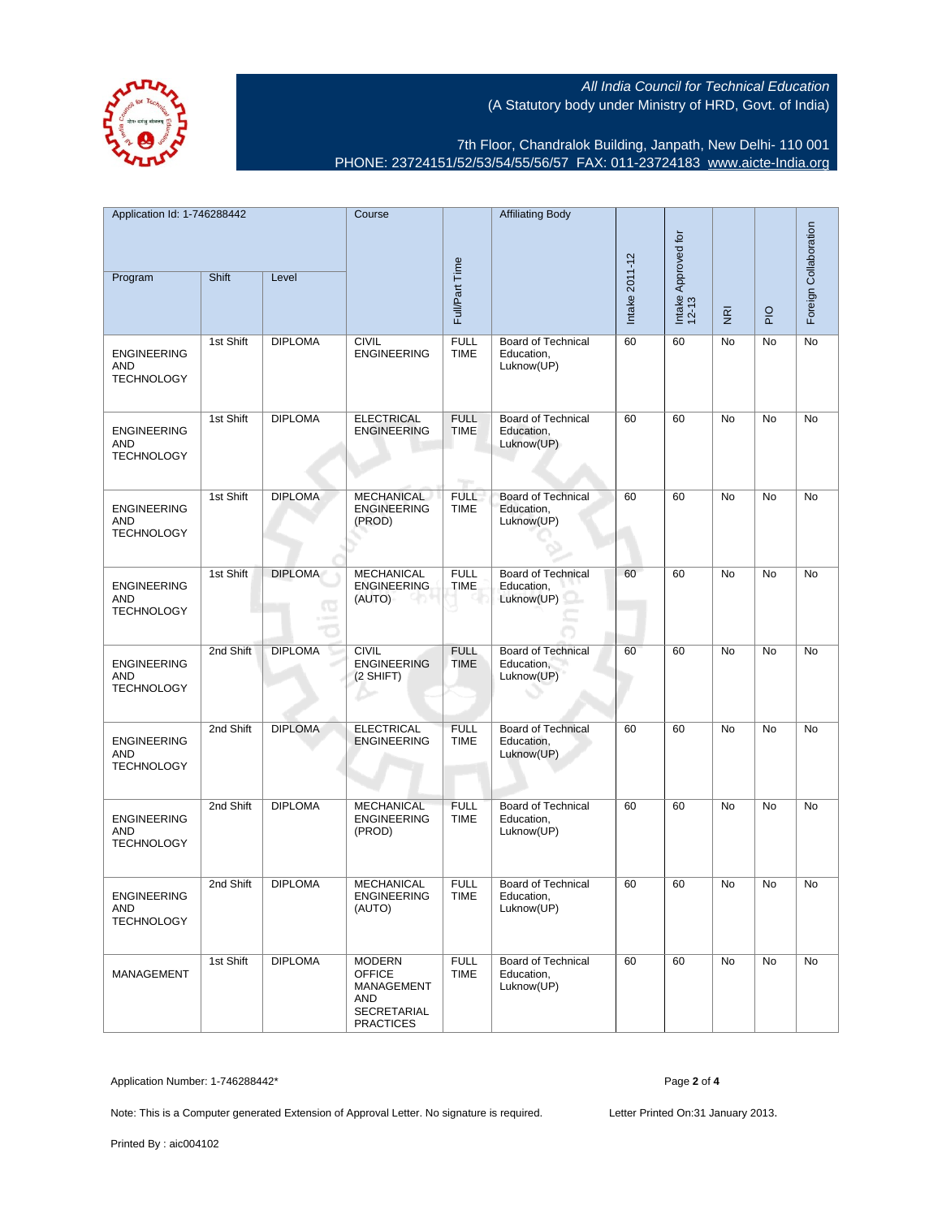

7th Floor, Chandralok Building, Janpath, New Delhi- 110 001 PHONE: 23724151/52/53/54/55/56/57 FAX: 011-23724183 [www.aicte-India.org](http://www.aicte-India.org)

| Application Id: 1-746288442<br>Program                | Shift     | Level                      | Course                                                                                        | Full/Part Time                    | <b>Affiliating Body</b>                               | Intake 2011-12 | Intake Approved for<br>12-13 | $\overline{\underline{\mathbf{g}}}$ | $rac{O}{P}$ | Foreign Collaboration |
|-------------------------------------------------------|-----------|----------------------------|-----------------------------------------------------------------------------------------------|-----------------------------------|-------------------------------------------------------|----------------|------------------------------|-------------------------------------|-------------|-----------------------|
| <b>ENGINEERING</b><br><b>AND</b><br><b>TECHNOLOGY</b> | 1st Shift | <b>DIPLOMA</b>             | <b>CIVIL</b><br><b>ENGINEERING</b>                                                            | <b>FULL</b><br><b>TIME</b>        | <b>Board of Technical</b><br>Education,<br>Luknow(UP) | 60             | 60                           | No                                  | No          | No                    |
| <b>ENGINEERING</b><br>AND<br><b>TECHNOLOGY</b>        | 1st Shift | <b>DIPLOMA</b>             | <b>ELECTRICAL</b><br><b>ENGINEERING</b>                                                       | <b>FULL</b><br><b>TIME</b><br>mp. | <b>Board of Technical</b><br>Education,<br>Luknow(UP) | 60             | 60                           | No                                  | No          | No                    |
| <b>ENGINEERING</b><br>AND<br><b>TECHNOLOGY</b>        | 1st Shift | <b>DIPLOMA</b>             | <b>MECHANICAL</b><br><b>ENGINEERING</b><br>(PROD)                                             | <b>FULL</b><br><b>TIME</b>        | <b>Board of Technical</b><br>Education,<br>Luknow(UP) | 60             | 60                           | No                                  | No          | No                    |
| <b>ENGINEERING</b><br>AND<br><b>TECHNOLOGY</b>        | 1st Shift | <b>DIPLOMA</b><br><b>G</b> | <b>MECHANICAL</b><br><b>ENGINEERING</b><br>(AUTO)                                             | <b>FULL</b><br><b>TIME</b>        | <b>Board of Technical</b><br>Education,<br>Luknow(UP) | 60             | 60                           | No                                  | No          | No                    |
| <b>ENGINEERING</b><br><b>AND</b><br><b>TECHNOLOGY</b> | 2nd Shift | <b>DIPLOMA</b>             | <b>CIVIL</b><br><b>ENGINEERING</b><br>(2 SHIFT)                                               | <b>FULL</b><br><b>TIME</b>        | <b>Board of Technical</b><br>Education,<br>Luknow(UP) | 60             | 60                           | <b>No</b>                           | <b>No</b>   | No                    |
| <b>ENGINEERING</b><br>AND<br><b>TECHNOLOGY</b>        | 2nd Shift | <b>DIPLOMA</b>             | <b>ELECTRICAL</b><br><b>ENGINEERING</b>                                                       | <b>FULL</b><br><b>TIME</b>        | <b>Board of Technical</b><br>Education,<br>Luknow(UP) | 60             | 60                           | No                                  | No          | No                    |
| <b>ENGINEERING</b><br>AND<br><b>TECHNOLOGY</b>        | 2nd Shift | <b>DIPLOMA</b>             | <b>MECHANICAL</b><br><b>ENGINEERING</b><br>(PROD)                                             | <b>FULL</b><br><b>TIME</b>        | <b>Board of Technical</b><br>Education,<br>Luknow(UP) | 60             | 60                           | No                                  | No          | No                    |
| <b>ENGINEERING</b><br>AND<br><b>TECHNOLOGY</b>        | 2nd Shift | <b>DIPLOMA</b>             | <b>MECHANICAL</b><br>ENGINEERING<br>(AUTO)                                                    | <b>FULL</b><br><b>TIME</b>        | Board of Technical<br>Education,<br>Luknow(UP)        | 60             | 60                           | No                                  | No          | No                    |
| <b>MANAGEMENT</b>                                     | 1st Shift | <b>DIPLOMA</b>             | <b>MODERN</b><br><b>OFFICE</b><br>MANAGEMENT<br>AND<br><b>SECRETARIAL</b><br><b>PRACTICES</b> | <b>FULL</b><br><b>TIME</b>        | <b>Board of Technical</b><br>Education,<br>Luknow(UP) | 60             | 60                           | No                                  | No          | No                    |

Application Number: 1-746288442\* Page **2** of **4**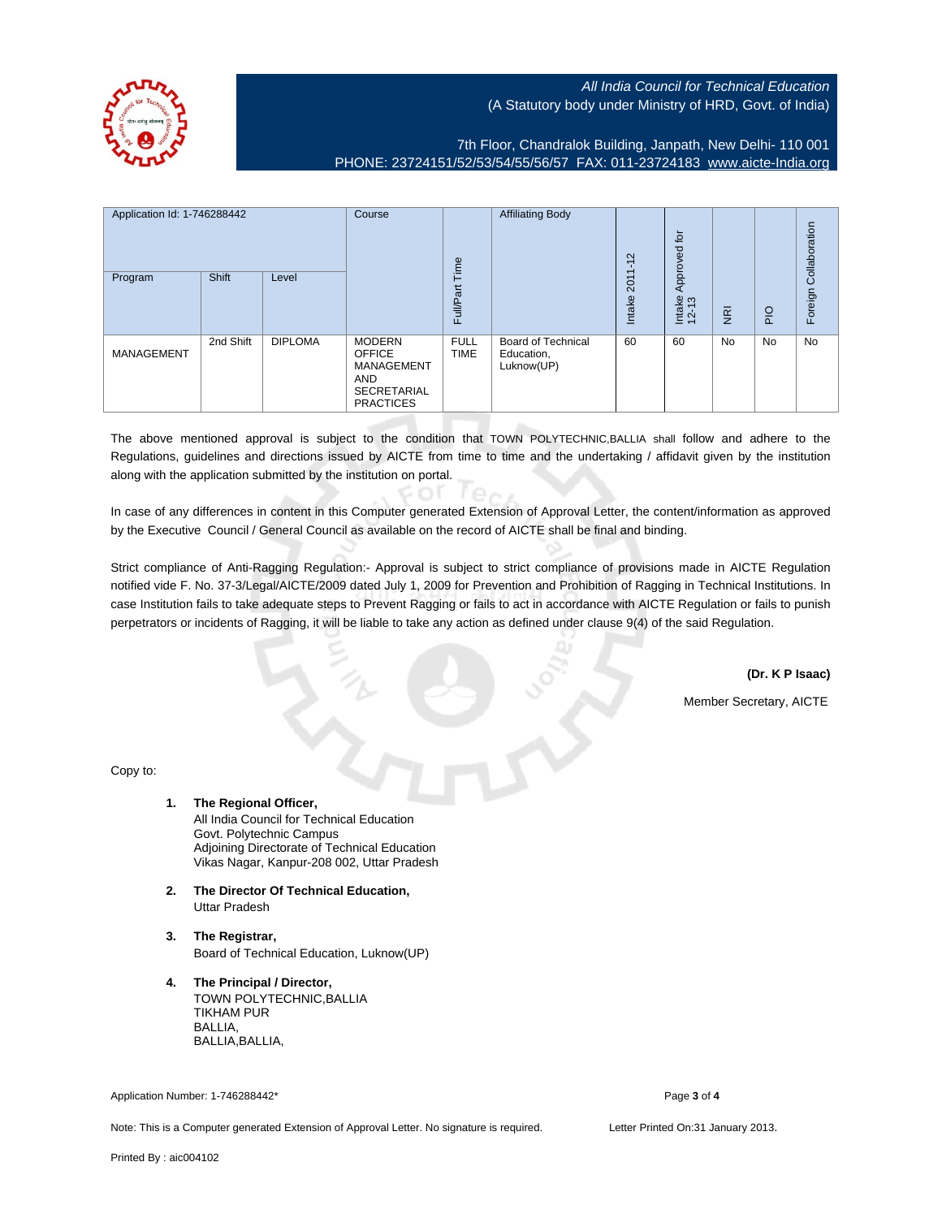7th Floor, Chandralok Building, Janpath, New Delhi- 110 001 PHONE: 23724151/52/53/54/55/56/57 FAX: 011-23724183 [www.aicte-India.org](http://www.aicte-India.org)

| Application Id: 1-746288442 |           | Course         | Time                                                                                                        | <b>Affiliating Body</b>    | $\sim$<br>7                                           | $\overline{p}$<br>Approved                |                 |                | Collaboration  |           |
|-----------------------------|-----------|----------------|-------------------------------------------------------------------------------------------------------------|----------------------------|-------------------------------------------------------|-------------------------------------------|-----------------|----------------|----------------|-----------|
| Program                     | Shift     | Level          |                                                                                                             | Full/Part                  |                                                       | $\overline{\phantom{0}}$<br>201<br>Intake | Intake<br>12-13 | $\overline{g}$ | $\overline{P}$ | Foreign   |
| <b>MANAGEMENT</b>           | 2nd Shift | <b>DIPLOMA</b> | <b>MODERN</b><br><b>OFFICE</b><br><b>MANAGEMENT</b><br><b>AND</b><br><b>SECRETARIAL</b><br><b>PRACTICES</b> | <b>FULL</b><br><b>TIME</b> | <b>Board of Technical</b><br>Education,<br>Luknow(UP) | 60                                        | 60              | <b>No</b>      | No             | <b>No</b> |

The above mentioned approval is subject to the condition that TOWN POLYTECHNIC,BALLIA shall follow and adhere to the Regulations, guidelines and directions issued by AICTE from time to time and the undertaking / affidavit given by the institution along with the application submitted by the institution on portal.

In case of any differences in content in this Computer generated Extension of Approval Letter, the content/information as approved by the Executive Council / General Council as available on the record of AICTE shall be final and binding.

 $en$ 

Strict compliance of Anti-Ragging Regulation:- Approval is subject to strict compliance of provisions made in AICTE Regulation notified vide F. No. 37-3/Legal/AICTE/2009 dated July 1, 2009 for Prevention and Prohibition of Ragging in Technical Institutions. In case Institution fails to take adequate steps to Prevent Ragging or fails to act in accordance with AICTE Regulation or fails to punish perpetrators or incidents of Ragging, it will be liable to take any action as defined under clause 9(4) of the said Regulation.

**(Dr. K P Isaac)**

Member Secretary, AICTE

Copy to:

- **1. The Regional Officer,** All India Council for Technical Education Govt. Polytechnic Campus Adjoining Directorate of Technical Education Vikas Nagar, Kanpur-208 002, Uttar Pradesh
- **2. The Director Of Technical Education,** Uttar Pradesh
- **3. The Registrar,** Board of Technical Education, Luknow(UP)
- **4. The Principal / Director,** TOWN POLYTECHNIC,BALLIA TIKHAM PUR BALLIA, BALLIA,BALLIA,

Application Number: 1-746288442\* Page **3** of **4**